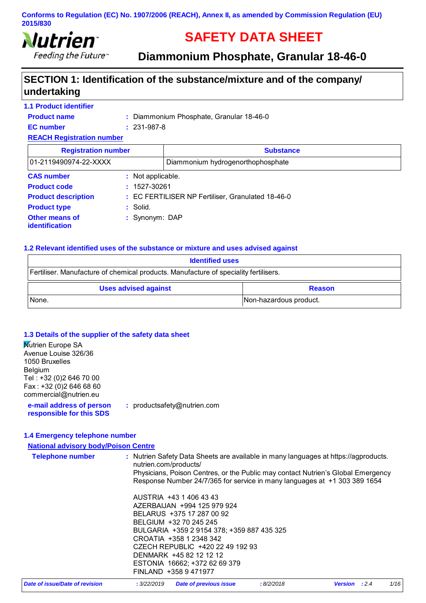

# **SAFETY DATA SHEET**

**Diammonium Phosphate, Granular 18-46-0** 

# **SECTION 1: Identification of the substance/mixture and of the company/ undertaking**

| <b>1.1 Product identifier</b>    |                   |                                                   |  |
|----------------------------------|-------------------|---------------------------------------------------|--|
| <b>Product name</b>              |                   | : Diammonium Phosphate, Granular 18-46-0          |  |
| <b>EC</b> number                 | $: 231 - 987 - 8$ |                                                   |  |
| <b>REACH Registration number</b> |                   |                                                   |  |
| <b>Registration number</b>       |                   | <b>Substance</b>                                  |  |
| 01-2119490974-22-XXXX            |                   | Diammonium hydrogenorthophosphate                 |  |
| <b>CAS number</b>                | : Not applicable. |                                                   |  |
| <b>Product code</b>              | $: 1527 - 30261$  |                                                   |  |
| <b>Product description</b>       |                   | : EC FERTILISER NP Fertiliser, Granulated 18-46-0 |  |
| <b>Product type</b>              | : Solid.          |                                                   |  |
| Other means of<br>identification | : Synonym: DAP    |                                                   |  |

#### **1.2 Relevant identified uses of the substance or mixture and uses advised against**

| <b>Identified uses</b>                                                               |  |  |
|--------------------------------------------------------------------------------------|--|--|
| Fertiliser. Manufacture of chemical products. Manufacture of speciality fertilisers. |  |  |
| <b>Uses advised against</b><br><b>Reason</b>                                         |  |  |
| Non-hazardous product.<br>None.                                                      |  |  |

#### **1.3 Details of the supplier of the safety data sheet**

| : productsafety@nutrien.com |
|-----------------------------|
|                             |
|                             |

#### **1.4 Emergency telephone number**

| <b>National advisory body/Poison Centre</b> |                                                                                                                                                                                                                                                                                                                 |      |
|---------------------------------------------|-----------------------------------------------------------------------------------------------------------------------------------------------------------------------------------------------------------------------------------------------------------------------------------------------------------------|------|
| <b>Telephone number</b>                     | : Nutrien Safety Data Sheets are available in many languages at https://agproducts.<br>nutrien.com/products/<br>Physicians, Poison Centres, or the Public may contact Nutrien's Global Emergency<br>Response Number 24/7/365 for service in many languages at +1 303 389 1654                                   |      |
|                                             | AUSTRIA +43 1 406 43 43<br>AZERBAIJAN +994 125 979 924<br>BELARUS +375 17 287 00 92<br>BELGIUM +32 70 245 245<br>BULGARIA +359 2 9154 378; +359 887 435 325<br>CROATIA +358 1 2348 342<br>CZECH REPUBLIC +420 22 49 192 93<br>DENMARK +45 82 12 12 12<br>ESTONIA 16662; +372 62 69 379<br>FINLAND +358 9 471977 |      |
| Date of issue/Date of revision              | <b>Date of previous issue</b><br>:8/2/2018<br>Version : 2.4<br>: 3/22/2019                                                                                                                                                                                                                                      | 1/16 |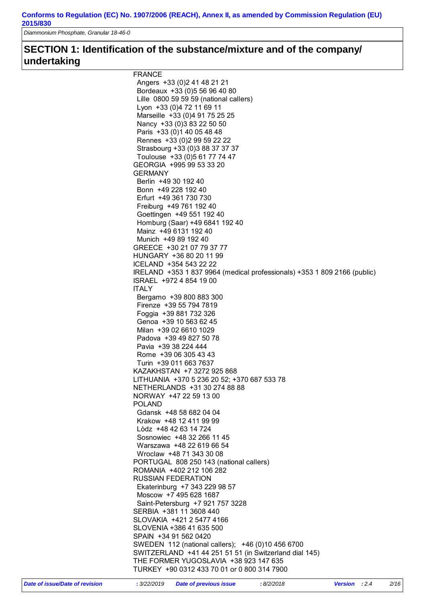*Diammonium Phosphate, Granular 18-46-0* 

# **SECTION 1: Identification of the substance/mixture and of the company/ undertaking**

| <b>FRANCE</b>                                                            |
|--------------------------------------------------------------------------|
| Angers +33 (0) 2 41 48 21 21                                             |
| Bordeaux +33 (0) 5 56 96 40 80                                           |
| Lille 0800 59 59 59 (national callers)                                   |
| Lyon +33 (0)4 72 11 69 11                                                |
| Marseille +33 (0)4 91 75 25 25                                           |
| Nancy +33 (0) 3 83 22 50 50                                              |
| Paris +33 (0) 1 40 05 48 48                                              |
| Rennes +33 (0) 2 99 59 22 22                                             |
| Strasbourg +33 (0)3 88 37 37 37                                          |
| Toulouse +33 (0)5 61 77 74 47                                            |
| GEORGIA +995 99 53 33 20                                                 |
| <b>GERMANY</b>                                                           |
| Berlin +49 30 192 40                                                     |
| Bonn +49 228 192 40                                                      |
| Erfurt +49 361 730 730                                                   |
| Freiburg +49 761 192 40                                                  |
| Goettingen +49 551 192 40                                                |
| Homburg (Saar) +49 6841 192 40                                           |
| Mainz +49 6131 192 40                                                    |
| Munich +49 89 192 40                                                     |
| GREECE +30 21 07 79 37 77                                                |
| HUNGARY +36 80 20 11 99                                                  |
| ICELAND +354 543 22 22                                                   |
| IRELAND +353 1 837 9964 (medical professionals) +353 1 809 2166 (public) |
| ISRAEL +972 4 854 19 00                                                  |
| <b>ITALY</b>                                                             |
| Bergamo +39 800 883 300                                                  |
| Firenze +39 55 794 7819                                                  |
| Foggia +39 881 732 326                                                   |
| Genoa +39 10 563 62 45                                                   |
| Milan +39 02 6610 1029                                                   |
| Padova +39 49 827 50 78                                                  |
| Pavia +39 38 224 444                                                     |
| Rome +39 06 305 43 43                                                    |
| Turin +39 011 663 7637                                                   |
| KAZAKHSTAN +7 3272 925 868                                               |
| LITHUANIA +370 5 236 20 52; +370 687 533 78                              |
| NETHERLANDS +31 30 274 88 88                                             |
| NORWAY +47 22 59 13 00                                                   |
| <b>POLAND</b>                                                            |
| Gdansk +48 58 682 04 04                                                  |
| Krakow +48 12 411 99 99                                                  |
| Lòdz +48 42 63 14 724                                                    |
| Sosnowiec +48 32 266 11 45                                               |
| Warszawa +48 22 619 66 54                                                |
| Wroclaw +48 71 343 30 08                                                 |
| PORTUGAL 808 250 143 (national callers)                                  |
| ROMANIA +402 212 106 282                                                 |
| <b>RUSSIAN FEDERATION</b>                                                |
| Ekaterinburg +7 343 229 98 57                                            |
| Moscow +7 495 628 1687                                                   |
| Saint-Petersburg +7 921 757 3228                                         |
| SERBIA +381 11 3608 440                                                  |
| SLOVAKIA +421 2 5477 4166                                                |
| SLOVENIA +386 41 635 500                                                 |
|                                                                          |
| SPAIN +34 91 562 0420                                                    |
| SWEDEN 112 (national callers); +46 (0)10 456 6700                        |
| SWITZERLAND +41 44 251 51 51 (in Switzerland dial 145)                   |
| THE FORMER YUGOSLAVIA +38 923 147 635                                    |
| TURKEY +90 0312 433 70 01 or 0 800 314 7900                              |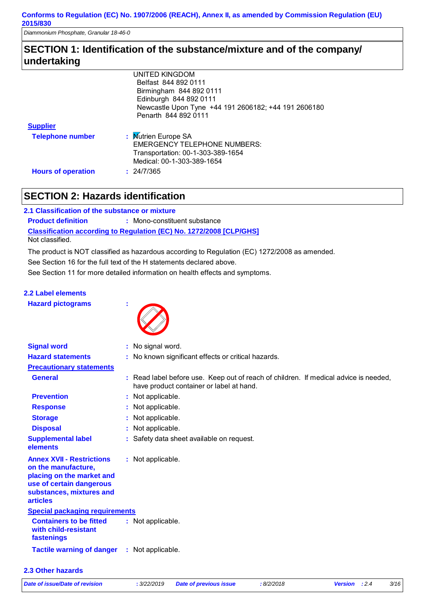*Diammonium Phosphate, Granular 18-46-0* 

# **SECTION 1: Identification of the substance/mixture and of the company/ undertaking**

|                           | <b>UNITED KINGDOM</b>                                |
|---------------------------|------------------------------------------------------|
|                           | Belfast 844 892 0111                                 |
|                           | Birmingham 844 892 0111                              |
|                           | Edinburgh 844 892 0111                               |
|                           | Newcastle Upon Tyne +44 191 2606182; +44 191 2606180 |
|                           | Penarth 844 892 0111                                 |
| <b>Supplier</b>           |                                                      |
| <b>Telephone number</b>   | : Mutrien Europe SA                                  |
|                           | <b>EMERGENCY TELEPHONE NUMBERS:</b>                  |
|                           |                                                      |
|                           | Medical: 00-1-303-389-1654                           |
| <b>Hours of operation</b> | : 24/7/365                                           |
|                           | Transportation: 00-1-303-389-1654                    |

# **SECTION 2: Hazards identification**

| 2.1 Classification of the substance or mixture |                                                                            |
|------------------------------------------------|----------------------------------------------------------------------------|
| <b>Product definition</b>                      | : Mono-constituent substance                                               |
|                                                | <b>Classification according to Regulation (EC) No. 1272/2008 [CLP/GHS]</b> |
| Not classified.                                |                                                                            |

The product is NOT classified as hazardous according to Regulation (EC) 1272/2008 as amended.

See Section 16 for the full text of the H statements declared above.

See Section 11 for more detailed information on health effects and symptoms.

# **2.2 Label elements**

| <b>Hazard pictograms</b> |  |  |
|--------------------------|--|--|
|                          |  |  |



| <b>Signal word</b>                                                                                                                                              | : No signal word.                                                                                                                |
|-----------------------------------------------------------------------------------------------------------------------------------------------------------------|----------------------------------------------------------------------------------------------------------------------------------|
| <b>Hazard statements</b>                                                                                                                                        | : No known significant effects or critical hazards.                                                                              |
| <b>Precautionary statements</b>                                                                                                                                 |                                                                                                                                  |
| <b>General</b>                                                                                                                                                  | : Read label before use. Keep out of reach of children. If medical advice is needed,<br>have product container or label at hand. |
| <b>Prevention</b>                                                                                                                                               | : Not applicable.                                                                                                                |
| <b>Response</b>                                                                                                                                                 | : Not applicable.                                                                                                                |
| <b>Storage</b>                                                                                                                                                  | : Not applicable.                                                                                                                |
| <b>Disposal</b>                                                                                                                                                 | : Not applicable.                                                                                                                |
| <b>Supplemental label</b><br>elements                                                                                                                           | : Safety data sheet available on request.                                                                                        |
| <b>Annex XVII - Restrictions</b><br>on the manufacture,<br>placing on the market and<br>use of certain dangerous<br>substances, mixtures and<br><b>articles</b> | : Not applicable.                                                                                                                |
| <b>Special packaging requirements</b>                                                                                                                           |                                                                                                                                  |
| <b>Containers to be fitted</b><br>with child-resistant<br>fastenings                                                                                            | : Not applicable.                                                                                                                |
| <b>Tactile warning of danger</b>                                                                                                                                | : Not applicable.                                                                                                                |
|                                                                                                                                                                 |                                                                                                                                  |

#### **2.3 Other hazards**

*Date of issue/Date of revision* **:** *3/22/2019 Date of previous issue : 8/2/2018 Version : 2.4 3/16*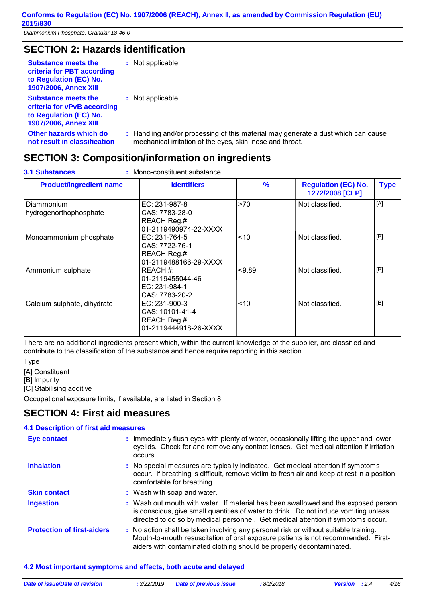# **SECTION 2: Hazards identification**

| <b>Substance meets the</b><br>criteria for PBT according<br>to Regulation (EC) No.<br><b>1907/2006, Annex XIII</b>  | : Not applicable.                             |
|---------------------------------------------------------------------------------------------------------------------|-----------------------------------------------|
| <b>Substance meets the</b><br>criteria for vPvB according<br>to Regulation (EC) No.<br><b>1907/2006, Annex XIII</b> | : Not applicable.                             |
| Other hazards which do<br>not result in classification                                                              | : Handling and/or pro<br>mechanical irritatio |

ocessing of this material may generate a dust which can cause mechanical irritation of the eyes, skin, nose and throat.

# **SECTION 3: Composition/information on ingredients**

| <b>Product/ingredient name</b>       | <b>Identifiers</b>                                                          | $\frac{9}{6}$ | <b>Regulation (EC) No.</b><br>1272/2008 [CLP] | <b>Type</b> |
|--------------------------------------|-----------------------------------------------------------------------------|---------------|-----------------------------------------------|-------------|
| Diammonium<br>hydrogenorthophosphate | EC: 231-987-8<br>CAS: 7783-28-0<br>REACH Reg.#:<br>01-2119490974-22-XXXX    | >70           | Not classified.                               | [A]         |
| Monoammonium phosphate               | EC: 231-764-5<br>CAS: 7722-76-1<br>REACH Reg.#:<br>01-2119488166-29-XXXX    | ~10           | Not classified.                               | [B]         |
| Ammonium sulphate                    | REACH #:<br>01-2119455044-46<br>EC: 231-984-1<br>CAS: 7783-20-2             | < 9.89        | Not classified.                               | [B]         |
| Calcium sulphate, dihydrate          | $EC: 231-900-3$<br>CAS: 10101-41-4<br>REACH Reg.#:<br>01-2119444918-26-XXXX | < 10          | Not classified.                               | [B]         |

There are no additional ingredients present which, within the current knowledge of the supplier, are classified and contribute to the classification of the substance and hence require reporting in this section.

**Type** 

[A] Constituent

[B] Impurity

[C] Stabilising additive

Occupational exposure limits, if available, are listed in Section 8.

# **SECTION 4: First aid measures**

#### **4.1 Description of first aid measures**

| <b>Eye contact</b>                | : Immediately flush eyes with plenty of water, occasionally lifting the upper and lower<br>eyelids. Check for and remove any contact lenses. Get medical attention if irritation<br>occurs.                                                                    |
|-----------------------------------|----------------------------------------------------------------------------------------------------------------------------------------------------------------------------------------------------------------------------------------------------------------|
| <b>Inhalation</b>                 | : No special measures are typically indicated. Get medical attention if symptoms<br>occur. If breathing is difficult, remove victim to fresh air and keep at rest in a position<br>comfortable for breathing.                                                  |
| <b>Skin contact</b>               | : Wash with soap and water.                                                                                                                                                                                                                                    |
| <b>Ingestion</b>                  | : Wash out mouth with water. If material has been swallowed and the exposed person<br>is conscious, give small quantities of water to drink. Do not induce vomiting unless<br>directed to do so by medical personnel. Get medical attention if symptoms occur. |
| <b>Protection of first-aiders</b> | : No action shall be taken involving any personal risk or without suitable training.<br>Mouth-to-mouth resuscitation of oral exposure patients is not recommended. First-<br>aiders with contaminated clothing should be properly decontaminated.              |

#### **4.2 Most important symptoms and effects, both acute and delayed**

| Date of issue/Date of revision | 3/22/2019 | <b>Date of previous issue</b> | : 8/2/2018 | <b>Version</b> : 2.4 | 4/16 |
|--------------------------------|-----------|-------------------------------|------------|----------------------|------|
|                                |           |                               |            |                      |      |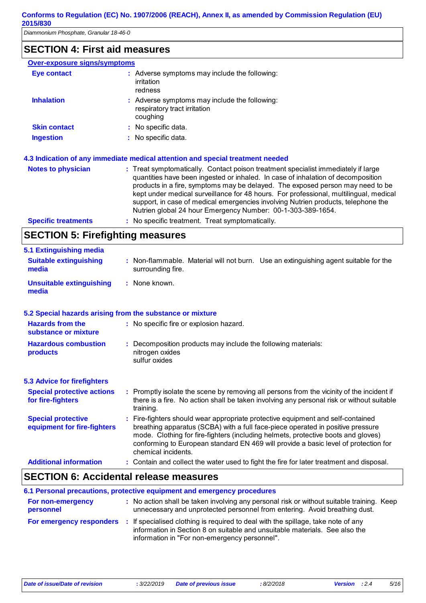# **SECTION 4: First aid measures**

| <b>Over-exposure signs/symptoms</b> |                                                                                           |
|-------------------------------------|-------------------------------------------------------------------------------------------|
| <b>Eye contact</b>                  | : Adverse symptoms may include the following:<br>irritation<br>redness                    |
| <b>Inhalation</b>                   | : Adverse symptoms may include the following:<br>respiratory tract irritation<br>coughing |
| <b>Skin contact</b>                 | : No specific data.                                                                       |
| <b>Ingestion</b>                    | : No specific data.                                                                       |
|                                     |                                                                                           |

#### **4.3 Indication of any immediate medical attention and special treatment needed**

| <b>Notes to physician</b>  | : Treat symptomatically. Contact poison treatment specialist immediately if large<br>quantities have been ingested or inhaled. In case of inhalation of decomposition<br>products in a fire, symptoms may be delayed. The exposed person may need to be<br>kept under medical surveillance for 48 hours. For professional, multilingual, medical<br>support, in case of medical emergencies involving Nutrien products, telephone the<br>Nutrien global 24 hour Emergency Number: 00-1-303-389-1654. |
|----------------------------|------------------------------------------------------------------------------------------------------------------------------------------------------------------------------------------------------------------------------------------------------------------------------------------------------------------------------------------------------------------------------------------------------------------------------------------------------------------------------------------------------|
| <b>Specific treatments</b> | : No specific treatment. Treat symptomatically.                                                                                                                                                                                                                                                                                                                                                                                                                                                      |

# **SECTION 5: Firefighting measures**

| 5.1 Extinguishing media                |                                                                                                           |  |
|----------------------------------------|-----------------------------------------------------------------------------------------------------------|--|
| <b>Suitable extinguishing</b><br>media | : Non-flammable. Material will not burn. Use an extinguishing agent suitable for the<br>surrounding fire. |  |
| Unsuitable extinguishing<br>media      | : None known.                                                                                             |  |

#### **5.2 Special hazards arising from the substance or mixture**

| <b>Hazards from the</b><br>substance or mixture          | : No specific fire or explosion hazard.                                                                                                                                                                                                                                                                                                                               |
|----------------------------------------------------------|-----------------------------------------------------------------------------------------------------------------------------------------------------------------------------------------------------------------------------------------------------------------------------------------------------------------------------------------------------------------------|
| <b>Hazardous combustion</b><br>products                  | : Decomposition products may include the following materials:<br>nitrogen oxides<br>sulfur oxides                                                                                                                                                                                                                                                                     |
| <b>5.3 Advice for firefighters</b>                       |                                                                                                                                                                                                                                                                                                                                                                       |
| <b>Special protective actions</b><br>for fire-fighters   | : Promptly isolate the scene by removing all persons from the vicinity of the incident if<br>there is a fire. No action shall be taken involving any personal risk or without suitable<br>training.                                                                                                                                                                   |
| <b>Special protective</b><br>equipment for fire-fighters | : Fire-fighters should wear appropriate protective equipment and self-contained<br>breathing apparatus (SCBA) with a full face-piece operated in positive pressure<br>mode. Clothing for fire-fighters (including helmets, protective boots and gloves)<br>conforming to European standard EN 469 will provide a basic level of protection for<br>chemical incidents. |
| <b>Additional information</b>                            | : Contain and collect the water used to fight the fire for later treatment and disposal.                                                                                                                                                                                                                                                                              |

# **SECTION 6: Accidental release measures**

|                                | 6.1 Personal precautions, protective equipment and emergency procedures                                                                                                                                           |
|--------------------------------|-------------------------------------------------------------------------------------------------------------------------------------------------------------------------------------------------------------------|
| For non-emergency<br>personnel | : No action shall be taken involving any personal risk or without suitable training. Keep<br>unnecessary and unprotected personnel from entering. Avoid breathing dust.                                           |
| For emergency responders       | : If specialised clothing is required to deal with the spillage, take note of any<br>information in Section 8 on suitable and unsuitable materials. See also the<br>information in "For non-emergency personnel". |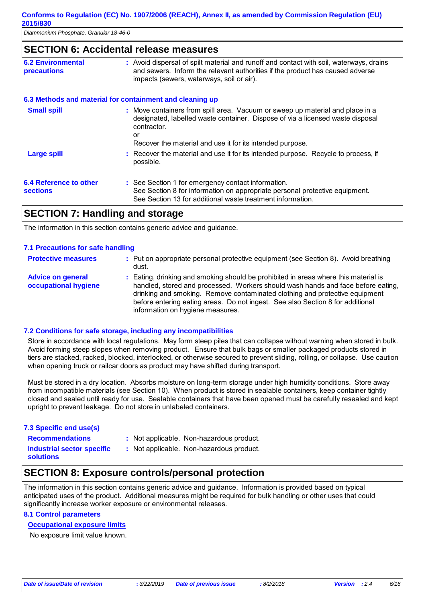### **SECTION 6: Accidental release measures**

| <b>6.2 Environmental</b><br><b>precautions</b> | : Avoid dispersal of spilt material and runoff and contact with soil, waterways, drains<br>and sewers. Inform the relevant authorities if the product has caused adverse<br>impacts (sewers, waterways, soil or air).                             |
|------------------------------------------------|---------------------------------------------------------------------------------------------------------------------------------------------------------------------------------------------------------------------------------------------------|
|                                                | 6.3 Methods and material for containment and cleaning up                                                                                                                                                                                          |
| <b>Small spill</b>                             | : Move containers from spill area. Vacuum or sweep up material and place in a<br>designated, labelled waste container. Dispose of via a licensed waste disposal<br>contractor.<br>or<br>Recover the material and use it for its intended purpose. |
| <b>Large spill</b>                             | : Recover the material and use it for its intended purpose. Recycle to process, if<br>possible.                                                                                                                                                   |
| 6.4 Reference to other<br><b>sections</b>      | : See Section 1 for emergency contact information.<br>See Section 8 for information on appropriate personal protective equipment.<br>See Section 13 for additional waste treatment information.                                                   |
|                                                |                                                                                                                                                                                                                                                   |

# **SECTION 7: Handling and storage**

The information in this section contains generic advice and guidance.

#### **7.1 Precautions for safe handling**

| <b>Protective measures</b>                       | : Put on appropriate personal protective equipment (see Section 8). Avoid breathing<br>dust.                                                                                                                                                                                                                                                                                 |
|--------------------------------------------------|------------------------------------------------------------------------------------------------------------------------------------------------------------------------------------------------------------------------------------------------------------------------------------------------------------------------------------------------------------------------------|
| <b>Advice on general</b><br>occupational hygiene | : Eating, drinking and smoking should be prohibited in areas where this material is<br>handled, stored and processed. Workers should wash hands and face before eating,<br>drinking and smoking. Remove contaminated clothing and protective equipment<br>before entering eating areas. Do not ingest. See also Section 8 for additional<br>information on hygiene measures. |

#### **7.2 Conditions for safe storage, including any incompatibilities**

Store in accordance with local regulations. May form steep piles that can collapse without warning when stored in bulk. Avoid forming steep slopes when removing product. Ensure that bulk bags or smaller packaged products stored in tiers are stacked, racked, blocked, interlocked, or otherwise secured to prevent sliding, rolling, or collapse. Use caution when opening truck or railcar doors as product may have shifted during transport.

Must be stored in a dry location. Absorbs moisture on long-term storage under high humidity conditions. Store away from incompatible materials (see Section 10). When product is stored in sealable containers, keep container tightly closed and sealed until ready for use. Sealable containers that have been opened must be carefully resealed and kept upright to prevent leakage. Do not store in unlabeled containers.

#### **7.3 Specific end use(s)**

- : Not applicable. Non-hazardous product.
- **Recommendations : Industrial sector specific : solutions**
- : Not applicable. Non-hazardous product.

# **SECTION 8: Exposure controls/personal protection**

The information in this section contains generic advice and guidance. Information is provided based on typical anticipated uses of the product. Additional measures might be required for bulk handling or other uses that could significantly increase worker exposure or environmental releases.

#### **8.1 Control parameters**

#### **Occupational exposure limits**

No exposure limit value known.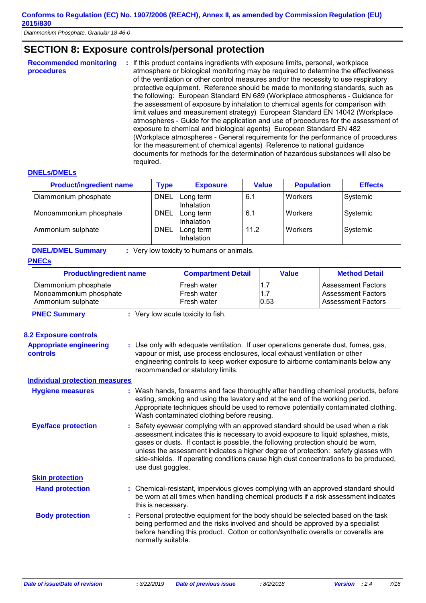*Diammonium Phosphate, Granular 18-46-0* 

# **SECTION 8: Exposure controls/personal protection**

| <b>Recommended monitoring</b><br>procedures | : If this product contains ingredients with exposure limits, personal, workplace<br>atmosphere or biological monitoring may be required to determine the effectiveness<br>of the ventilation or other control measures and/or the necessity to use respiratory<br>protective equipment. Reference should be made to monitoring standards, such as<br>the following: European Standard EN 689 (Workplace atmospheres - Guidance for<br>the assessment of exposure by inhalation to chemical agents for comparison with<br>limit values and measurement strategy) European Standard EN 14042 (Workplace<br>atmospheres - Guide for the application and use of procedures for the assessment of<br>exposure to chemical and biological agents) European Standard EN 482<br>(Workplace atmospheres - General requirements for the performance of procedures<br>for the measurement of chemical agents) Reference to national guidance<br>documents for methods for the determination of hazardous substances will also be<br>required. |
|---------------------------------------------|------------------------------------------------------------------------------------------------------------------------------------------------------------------------------------------------------------------------------------------------------------------------------------------------------------------------------------------------------------------------------------------------------------------------------------------------------------------------------------------------------------------------------------------------------------------------------------------------------------------------------------------------------------------------------------------------------------------------------------------------------------------------------------------------------------------------------------------------------------------------------------------------------------------------------------------------------------------------------------------------------------------------------------|
|---------------------------------------------|------------------------------------------------------------------------------------------------------------------------------------------------------------------------------------------------------------------------------------------------------------------------------------------------------------------------------------------------------------------------------------------------------------------------------------------------------------------------------------------------------------------------------------------------------------------------------------------------------------------------------------------------------------------------------------------------------------------------------------------------------------------------------------------------------------------------------------------------------------------------------------------------------------------------------------------------------------------------------------------------------------------------------------|

#### **DNELs/DMELs**

| <b>Product/ingredient name</b> | <b>Type</b> | <b>Exposure</b>         | <b>Value</b> | <b>Population</b> | <b>Effects</b> |
|--------------------------------|-------------|-------------------------|--------------|-------------------|----------------|
| Diammonium phosphate           | <b>DNEL</b> | Long term<br>Inhalation | 6.1          | Workers           | Systemic       |
| Monoammonium phosphate         | <b>DNEL</b> | Long term<br>Inhalation | 6.1          | Workers           | Systemic       |
| Ammonium sulphate              | <b>DNEL</b> | Long term<br>Inhalation | 11.2         | Workers           | Systemic       |

**DNEL/DMEL Summary :** Very low toxicity to humans or animals.

#### **PNECs**

| <b>Product/ingredient name</b> | <b>Compartment Detail</b> | Value        | <b>Method Detail</b>      |
|--------------------------------|---------------------------|--------------|---------------------------|
| Diammonium phosphate           | Fresh water               | $\mathbf{L}$ | <b>Assessment Factors</b> |
| Monoammonium phosphate         | Fresh water               | 1.7          | <b>Assessment Factors</b> |
| Ammonium sulphate              | Fresh water               | 0.53         | <b>Assessment Factors</b> |

**PNEC Summary :** Very low acute toxicity to fish.

#### **8.2 Exposure controls**

| <b>Appropriate engineering</b><br><b>controls</b> | : Use only with adequate ventilation. If user operations generate dust, fumes, gas,<br>vapour or mist, use process enclosures, local exhaust ventilation or other<br>engineering controls to keep worker exposure to airborne contaminants below any<br>recommended or statutory limits.                                                                                                                                                                      |
|---------------------------------------------------|---------------------------------------------------------------------------------------------------------------------------------------------------------------------------------------------------------------------------------------------------------------------------------------------------------------------------------------------------------------------------------------------------------------------------------------------------------------|
| <b>Individual protection measures</b>             |                                                                                                                                                                                                                                                                                                                                                                                                                                                               |
| <b>Hygiene measures</b>                           | : Wash hands, forearms and face thoroughly after handling chemical products, before<br>eating, smoking and using the lavatory and at the end of the working period.<br>Appropriate techniques should be used to remove potentially contaminated clothing.<br>Wash contaminated clothing before reusing.                                                                                                                                                       |
| <b>Eye/face protection</b>                        | : Safety eyewear complying with an approved standard should be used when a risk<br>assessment indicates this is necessary to avoid exposure to liquid splashes, mists,<br>gases or dusts. If contact is possible, the following protection should be worn,<br>unless the assessment indicates a higher degree of protection: safety glasses with<br>side-shields. If operating conditions cause high dust concentrations to be produced,<br>use dust goggles. |
| <b>Skin protection</b>                            |                                                                                                                                                                                                                                                                                                                                                                                                                                                               |
| <b>Hand protection</b>                            | : Chemical-resistant, impervious gloves complying with an approved standard should<br>be worn at all times when handling chemical products if a risk assessment indicates<br>this is necessary.                                                                                                                                                                                                                                                               |
| <b>Body protection</b>                            | : Personal protective equipment for the body should be selected based on the task<br>being performed and the risks involved and should be approved by a specialist<br>before handling this product. Cotton or cotton/synthetic overalls or coveralls are<br>normally suitable.                                                                                                                                                                                |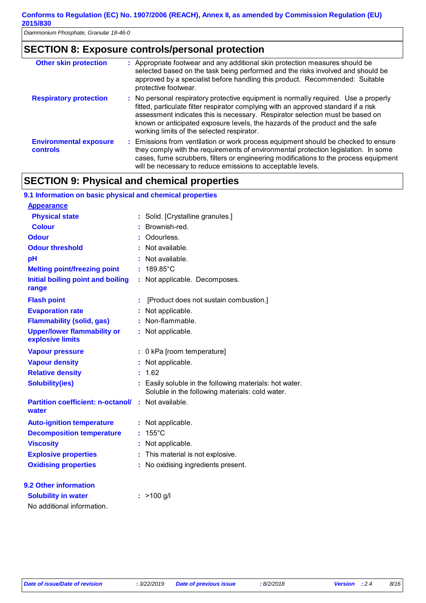# **SECTION 8: Exposure controls/personal protection**

| <b>Other skin protection</b>                     | : Appropriate footwear and any additional skin protection measures should be<br>selected based on the task being performed and the risks involved and should be<br>approved by a specialist before handling this product. Recommended: Suitable<br>protective footwear.                                                                                                                    |
|--------------------------------------------------|--------------------------------------------------------------------------------------------------------------------------------------------------------------------------------------------------------------------------------------------------------------------------------------------------------------------------------------------------------------------------------------------|
| <b>Respiratory protection</b>                    | : No personal respiratory protective equipment is normally required. Use a properly<br>fitted, particulate filter respirator complying with an approved standard if a risk<br>assessment indicates this is necessary. Respirator selection must be based on<br>known or anticipated exposure levels, the hazards of the product and the safe<br>working limits of the selected respirator. |
| <b>Environmental exposure</b><br><b>controls</b> | : Emissions from ventilation or work process equipment should be checked to ensure<br>they comply with the requirements of environmental protection legislation. In some<br>cases, fume scrubbers, filters or engineering modifications to the process equipment<br>will be necessary to reduce emissions to acceptable levels.                                                            |

# **SECTION 9: Physical and chemical properties**

#### **9.1 Information on basic physical and chemical properties**

| <b>Appearance</b>                                      |    |                                                                                                          |
|--------------------------------------------------------|----|----------------------------------------------------------------------------------------------------------|
| <b>Physical state</b>                                  | ÷  | Solid. [Crystalline granules.]                                                                           |
| <b>Colour</b>                                          |    | Brownish-red.                                                                                            |
| <b>Odour</b>                                           |    | Odourless.                                                                                               |
| <b>Odour threshold</b>                                 |    | Not available.                                                                                           |
| pH                                                     |    | Not available.                                                                                           |
| <b>Melting point/freezing point</b>                    | ċ. | 189.85°C                                                                                                 |
| <b>Initial boiling point and boiling</b><br>range      | t  | Not applicable. Decomposes.                                                                              |
| <b>Flash point</b>                                     | ÷  | [Product does not sustain combustion.]                                                                   |
| <b>Evaporation rate</b>                                |    | Not applicable.                                                                                          |
| <b>Flammability (solid, gas)</b>                       |    | Non-flammable.                                                                                           |
| <b>Upper/lower flammability or</b><br>explosive limits |    | Not applicable.                                                                                          |
| <b>Vapour pressure</b>                                 |    | 0 kPa [room temperature]                                                                                 |
| <b>Vapour density</b>                                  |    | Not applicable.                                                                                          |
| <b>Relative density</b>                                |    | 1.62                                                                                                     |
| <b>Solubility(ies)</b>                                 |    | Easily soluble in the following materials: hot water.<br>Soluble in the following materials: cold water. |
| <b>Partition coefficient: n-octanol/</b><br>water      | t. | Not available.                                                                                           |
| <b>Auto-ignition temperature</b>                       | ÷  | Not applicable.                                                                                          |
| <b>Decomposition temperature</b>                       | ÷  | $155^{\circ}$ C                                                                                          |
| <b>Viscosity</b>                                       |    | Not applicable.                                                                                          |
| <b>Explosive properties</b>                            |    | This material is not explosive.                                                                          |
| <b>Oxidising properties</b>                            |    | No oxidising ingredients present.                                                                        |
| 9.2 Other information                                  |    |                                                                                                          |
| <b>Solubility in water</b>                             |    | $>100$ g/l                                                                                               |
| No additional information.                             |    |                                                                                                          |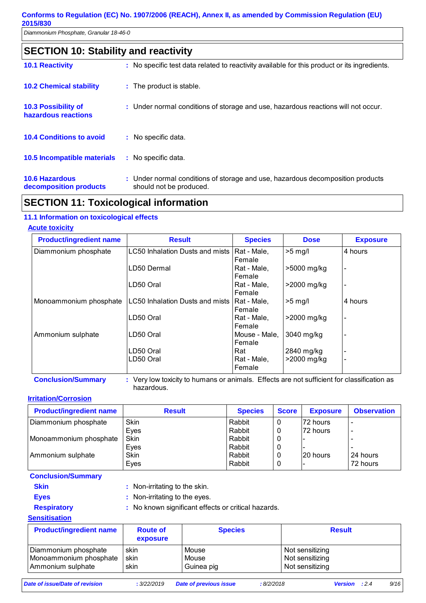| <b>SECTION 10: Stability and reactivity</b>       |                                                                                                           |  |  |  |
|---------------------------------------------------|-----------------------------------------------------------------------------------------------------------|--|--|--|
| <b>10.1 Reactivity</b>                            | : No specific test data related to reactivity available for this product or its ingredients.              |  |  |  |
| <b>10.2 Chemical stability</b>                    | : The product is stable.                                                                                  |  |  |  |
| <b>10.3 Possibility of</b><br>hazardous reactions | : Under normal conditions of storage and use, hazardous reactions will not occur.                         |  |  |  |
| <b>10.4 Conditions to avoid</b>                   | : No specific data.                                                                                       |  |  |  |
| <b>10.5 Incompatible materials</b>                | : No specific data.                                                                                       |  |  |  |
| <b>10.6 Hazardous</b><br>decomposition products   | : Under normal conditions of storage and use, hazardous decomposition products<br>should not be produced. |  |  |  |

# **SECTION 11: Toxicological information**

### **11.1 Information on toxicological effects**

### **Acute toxicity**

| <b>Product/ingredient name</b> | <b>Result</b>                   | <b>Species</b> | <b>Dose</b>    | <b>Exposure</b> |
|--------------------------------|---------------------------------|----------------|----------------|-----------------|
| Diammonium phosphate           | LC50 Inhalation Dusts and mists | Rat - Male,    | $>5$ mg/l      | 4 hours         |
|                                |                                 | Female         |                |                 |
|                                | LD50 Dermal                     | Rat - Male,    | >5000 mg/kg    |                 |
|                                |                                 | Female         |                |                 |
|                                | LD50 Oral                       | Rat - Male,    | $>$ 2000 mg/kg |                 |
|                                |                                 | Female         |                |                 |
| Monoammonium phosphate         | LC50 Inhalation Dusts and mists | Rat - Male,    | $>5$ mg/       | 4 hours         |
|                                |                                 | Female         |                |                 |
|                                | LD50 Oral                       | Rat - Male,    | >2000 mg/kg    |                 |
|                                |                                 | Female         |                |                 |
| Ammonium sulphate              | LD50 Oral                       | Mouse - Male.  | 3040 mg/kg     |                 |
|                                |                                 | Female         |                |                 |
|                                | LD50 Oral                       | Rat            | 2840 mg/kg     |                 |
|                                | LD50 Oral                       | Rat - Male,    | >2000 mg/kg    |                 |
|                                |                                 | Female         |                |                 |

**Conclusion/Summary :** Very low toxicity to humans or animals. Effects are not sufficient for classification as hazardous.

#### **Irritation/Corrosion**

| <b>Product/ingredient name</b> | <b>Result</b> | <b>Species</b> | <b>Score</b> | <b>Exposure</b> | <b>Observation</b> |
|--------------------------------|---------------|----------------|--------------|-----------------|--------------------|
| Diammonium phosphate           | Skin          | Rabbit         | 0            | l72 hours       |                    |
|                                | Eyes          | Rabbit         | 0            | 72 hours        |                    |
| Monoammonium phosphate         | Skin          | Rabbit         | 0            |                 |                    |
|                                | Eyes          | Rabbit         | 0            |                 |                    |
| Ammonium sulphate              | <b>Skin</b>   | Rabbit         | 0            | 20 hours        | 24 hours           |
|                                | Eyes          | Rabbit         | 0            |                 | 72 hours           |

**Conclusion/Summary**

- 
- 

**Skin** : Non-irritating to the skin.

- 
- **Eyes** : Non-irritating to the eyes. **Respiratory :** No known significant effects or critical hazards.

#### **Sensitisation**

| <b>Product/ingredient name</b> | <b>Route of</b><br>exposure | <b>Species</b> | <b>Result</b>   |
|--------------------------------|-----------------------------|----------------|-----------------|
| Diammonium phosphate           | skin                        | Mouse          | Not sensitizing |
| Monoammonium phosphate         | skin                        | Mouse          | Not sensitizing |
| Ammonium sulphate              | skin                        | Guinea pig     | Not sensitizing |

*Date of issue/Date of revision* **:** *3/22/2019 Date of previous issue : 8/2/2018 Version : 2.4 9/16*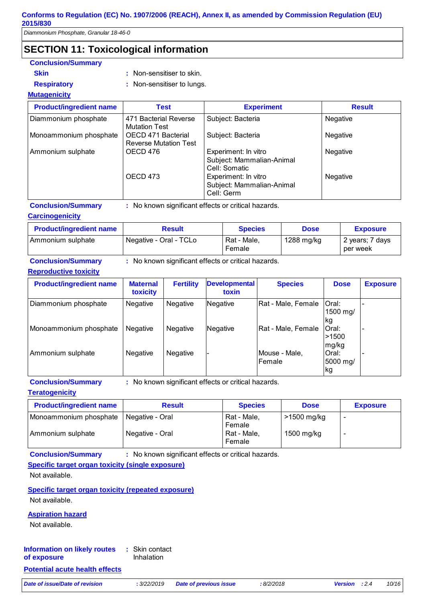*Diammonium Phosphate, Granular 18-46-0* 

# **SECTION 11: Toxicological information**

| <b>Conclusion/Summary</b>      |                                                    |                                                                    |                 |  |  |
|--------------------------------|----------------------------------------------------|--------------------------------------------------------------------|-----------------|--|--|
| <b>Skin</b>                    | : Non-sensitiser to skin.                          |                                                                    |                 |  |  |
| <b>Respiratory</b>             | : Non-sensitiser to lungs.                         |                                                                    |                 |  |  |
| <b>Mutagenicity</b>            |                                                    |                                                                    |                 |  |  |
| <b>Product/ingredient name</b> | <b>Test</b>                                        | <b>Experiment</b>                                                  | <b>Result</b>   |  |  |
| Diammonium phosphate           | 471 Bacterial Reverse<br><b>Mutation Test</b>      | Subject: Bacteria                                                  | Negative        |  |  |
| Monoammonium phosphate         | OECD 471 Bacterial<br><b>Reverse Mutation Test</b> | Subject: Bacteria                                                  | <b>Negative</b> |  |  |
| Ammonium sulphate              | OECD 476                                           | Experiment: In vitro<br>Subject: Mammalian-Animal<br>Cell: Somatic | Negative        |  |  |
|                                | OECD 473                                           | Experiment: In vitro<br>Subject: Mammalian-Animal<br>Cell: Germ    | <b>Negative</b> |  |  |
| <b>Conclusion/Summary</b>      |                                                    | : No known significant effects or critical hazards.                |                 |  |  |

**Carcinogenicity**

| <b>Product/ingredient name</b> | <b>Result</b>          | <b>Species</b>        | <b>Dose</b> | <b>Exposure</b>             |
|--------------------------------|------------------------|-----------------------|-------------|-----------------------------|
| Ammonium sulphate              | Negative - Oral - TCLo | Rat - Male.<br>Female | 1288 mg/kg  | 2 years; 7 days<br>per week |

**Conclusion/Summary :** No known significant effects or critical hazards.

#### **Reproductive toxicity**

| <b>Product/ingredient name</b> | <b>Maternal</b><br>toxicity | <b>Fertility</b> | <b>Developmental</b><br>toxin | <b>Species</b>          | <b>Dose</b>                      | <b>Exposure</b> |
|--------------------------------|-----------------------------|------------------|-------------------------------|-------------------------|----------------------------------|-----------------|
| Diammonium phosphate           | Negative                    | <b>Negative</b>  | Negative                      | Rat - Male, Female      | <b>Oral:</b><br>1500 mg/<br>lkg. |                 |
| Monoammonium phosphate         | <b>Negative</b>             | <b>Negative</b>  | Negative                      | Rat - Male, Female      | Oral:<br>>1500<br>mg/kg          |                 |
| Ammonium sulphate              | <b>Negative</b>             | Negative         |                               | Mouse - Male,<br>Female | Oral:<br>5000 mg/<br>kg          |                 |

**Conclusion/Summary :** No known significant effects or critical hazards.

#### **Teratogenicity**

| <b>Product/ingredient name</b> | <b>Result</b>   | <b>Species</b>        | <b>Dose</b> | <b>Exposure</b> |
|--------------------------------|-----------------|-----------------------|-------------|-----------------|
| Monoammonium phosphate         | Negative - Oral | Rat - Male,<br>Female | >1500 mg/kg | -               |
| Ammonium sulphate              | Negative - Oral | Rat - Male,<br>Female | 1500 mg/kg  | -               |

**Conclusion/Summary :** No known significant effects or critical hazards.

#### **Specific target organ toxicity (single exposure)**

Not available.

**Specific target organ toxicity (repeated exposure)** Not available.

#### **Aspiration hazard**

Not available.

#### Skin contact **:** Inhalation **Information on likely routes of exposure**

#### **Potential acute health effects**

*Date of issue/Date of revision* **:** *3/22/2019 Date of previous issue : 8/2/2018 Version : 2.4 10/16*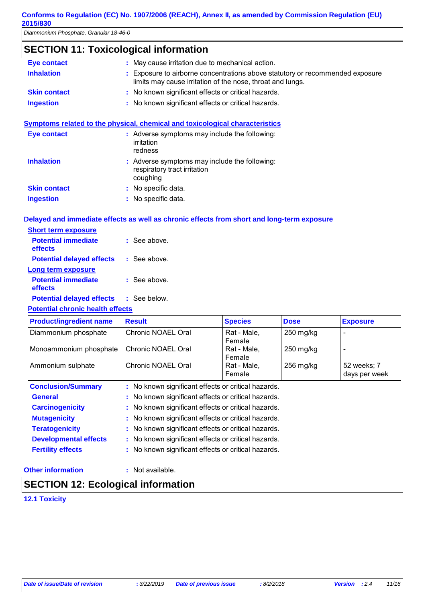*Diammonium Phosphate, Granular 18-46-0* 

# **SECTION 11: Toxicological information**

| Eye contact         | : May cause irritation due to mechanical action.                                                                                            |
|---------------------|---------------------------------------------------------------------------------------------------------------------------------------------|
| <b>Inhalation</b>   | : Exposure to airborne concentrations above statutory or recommended exposure<br>limits may cause irritation of the nose, throat and lungs. |
| <b>Skin contact</b> | : No known significant effects or critical hazards.                                                                                         |
| <b>Ingestion</b>    | : No known significant effects or critical hazards.                                                                                         |
| Eye contact         | Symptoms related to the physical, chemical and toxicological characteristics<br>: Adverse symptoms may include the following:<br>irritation |
|                     | redness                                                                                                                                     |
| <b>Inhalation</b>   | : Adverse symptoms may include the following:<br>respiratory tract irritation<br>coughing                                                   |

# **Delayed and immediate effects as well as chronic effects from short and long-term exposure**

: No specific data. : No specific data.

| <b>Short term exposure</b>            |                |
|---------------------------------------|----------------|
| <b>Potential immediate</b><br>effects | : See above.   |
| <b>Potential delayed effects</b>      | : See above.   |
| Long term exposure                    |                |
| <b>Potential immediate</b><br>effects | $:$ See above. |
| <b>Potential delayed effects</b>      | : See below.   |
|                                       |                |

#### **Potential chronic health effects**

**Skin contact Ingestion**

| <b>Product/ingredient name</b> | <b>Result</b>                                       | <b>Species</b> | <b>Dose</b> | <b>Exposure</b> |
|--------------------------------|-----------------------------------------------------|----------------|-------------|-----------------|
| Diammonium phosphate           | Chronic NOAEL Oral                                  | Rat - Male,    | $250$ mg/kg |                 |
|                                |                                                     | Female         |             |                 |
| Monoammonium phosphate         | Chronic NOAEL Oral                                  | Rat - Male,    | $250$ mg/kg | ٠               |
|                                |                                                     | Female         |             |                 |
| Ammonium sulphate              | Chronic NOAEL Oral                                  | Rat - Male,    | $256$ mg/kg | 52 weeks; 7     |
|                                |                                                     | Female         |             | days per week   |
| <b>Conclusion/Summary</b>      | : No known significant effects or critical hazards. |                |             |                 |
| <b>General</b>                 | : No known significant effects or critical hazards. |                |             |                 |
| <b>Carcinogenicity</b>         | : No known significant effects or critical hazards. |                |             |                 |
| <b>Mutagenicity</b>            | : No known significant effects or critical hazards. |                |             |                 |
| <b>Teratogenicity</b>          | : No known significant effects or critical hazards. |                |             |                 |
| <b>Developmental effects</b>   | : No known significant effects or critical hazards. |                |             |                 |
| <b>Fertility effects</b>       | : No known significant effects or critical hazards. |                |             |                 |

#### **Other information :**

: Not available.

# **SECTION 12: Ecological information**

**12.1 Toxicity**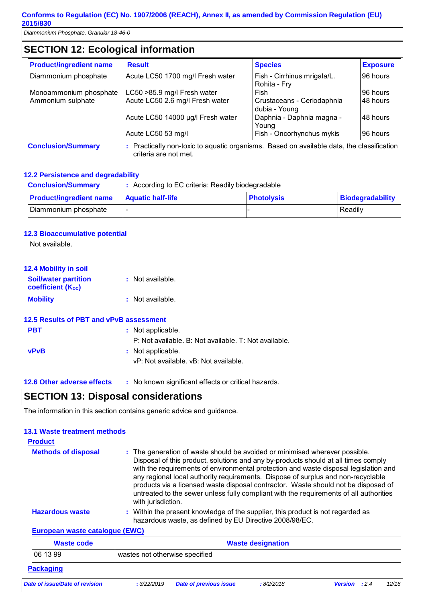*Diammonium Phosphate, Granular 18-46-0* 

# **SECTION 12: Ecological information**

| <b>Product/ingredient name</b> | <b>Result</b>                     | <b>Species</b>                              | <b>Exposure</b> |
|--------------------------------|-----------------------------------|---------------------------------------------|-----------------|
| Diammonium phosphate           | Acute LC50 1700 mg/l Fresh water  | Fish - Cirrhinus mrigala/L.<br>Rohita - Fry | 96 hours        |
| Monoammonium phosphate         | LC50 >85.9 mg/l Fresh water       | Fish                                        | 96 hours        |
| Ammonium sulphate              | Acute LC50 2.6 mg/l Fresh water   | Crustaceans - Ceriodaphnia<br>dubia - Young | 148 hours       |
|                                | Acute LC50 14000 µg/l Fresh water | Daphnia - Daphnia magna -<br>Young          | 48 hours        |
|                                | Acute LC50 53 mg/l                | Fish - Oncorhynchus mykis                   | 96 hours        |

**Conclusion/Summary :** Practically non-toxic to aquatic organisms. Based on available data, the classification criteria are not met.

#### **12.2 Persistence and degradability**

| <b>Conclusion/Summary</b>      | : According to EC criteria: Readily biodegradable |                   |                         |
|--------------------------------|---------------------------------------------------|-------------------|-------------------------|
| <b>Product/ingredient name</b> | <b>Aquatic half-life</b>                          | <b>Photolysis</b> | <b>Biodegradability</b> |
| Diammonium phosphate           |                                                   |                   | Readily                 |

#### **12.3 Bioaccumulative potential**

Not available.

| <b>12.4 Mobility in soil</b>                     |                                                       |
|--------------------------------------------------|-------------------------------------------------------|
| <b>Soil/water partition</b><br>coefficient (Koc) | : Not available.                                      |
| <b>Mobility</b>                                  | : Not available.                                      |
| 12.5 Results of PBT and vPvB assessment          |                                                       |
| <b>PBT</b>                                       | : Not applicable.                                     |
|                                                  | P: Not available. B: Not available. T: Not available. |
| <b>vPvB</b>                                      | : Not applicable.                                     |
|                                                  | vP: Not available, vB: Not available.                 |
|                                                  |                                                       |
|                                                  |                                                       |

**12.6 Other adverse effects** : No known significant effects or critical hazards.

# **SECTION 13: Disposal considerations**

The information in this section contains generic advice and guidance.

# **13.1 Waste treatment methods**

| <b>Product</b>                 |                                                                                                                                                                                                                                                                                                                                                                                                                                                                                                                                                     |
|--------------------------------|-----------------------------------------------------------------------------------------------------------------------------------------------------------------------------------------------------------------------------------------------------------------------------------------------------------------------------------------------------------------------------------------------------------------------------------------------------------------------------------------------------------------------------------------------------|
| <b>Methods of disposal</b>     | : The generation of waste should be avoided or minimised wherever possible.<br>Disposal of this product, solutions and any by-products should at all times comply<br>with the requirements of environmental protection and waste disposal legislation and<br>any regional local authority requirements. Dispose of surplus and non-recyclable<br>products via a licensed waste disposal contractor. Waste should not be disposed of<br>untreated to the sewer unless fully compliant with the requirements of all authorities<br>with jurisdiction. |
| <b>Hazardous waste</b>         | : Within the present knowledge of the supplier, this product is not regarded as<br>hazardous waste, as defined by EU Directive 2008/98/EC.                                                                                                                                                                                                                                                                                                                                                                                                          |
| European waste catalogue (EWC) |                                                                                                                                                                                                                                                                                                                                                                                                                                                                                                                                                     |
| <b>Waste code</b>              | <b>Waste designation</b>                                                                                                                                                                                                                                                                                                                                                                                                                                                                                                                            |
| 06 13 99                       | wastes not otherwise specified                                                                                                                                                                                                                                                                                                                                                                                                                                                                                                                      |
| <b>Packaging</b>               |                                                                                                                                                                                                                                                                                                                                                                                                                                                                                                                                                     |

*Date of issue/Date of revision* **:** *3/22/2019 Date of previous issue : 8/2/2018 Version : 2.4 12/16*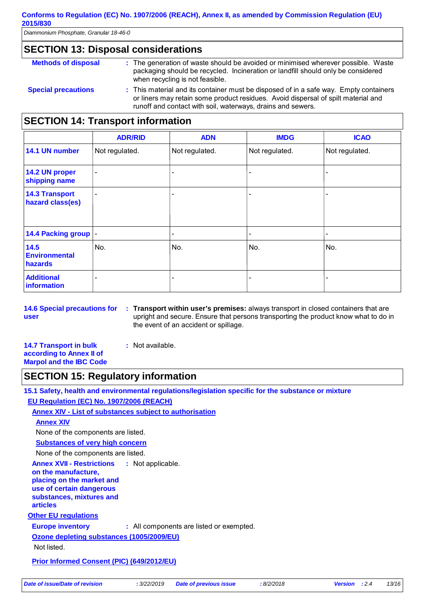*Diammonium Phosphate, Granular 18-46-0* 

### **SECTION 13: Disposal considerations**

| <b>Methods of disposal</b> | : The generation of waste should be avoided or minimised wherever possible. Waste<br>packaging should be recycled. Incineration or landfill should only be considered<br>when recycling is not feasible.                                  |
|----------------------------|-------------------------------------------------------------------------------------------------------------------------------------------------------------------------------------------------------------------------------------------|
| <b>Special precautions</b> | : This material and its container must be disposed of in a safe way. Empty containers<br>or liners may retain some product residues. Avoid dispersal of spilt material and<br>runoff and contact with soil, waterways, drains and sewers. |

# **SECTION 14: Transport information**

|                                           | <b>ADR/RID</b>           | <b>ADN</b>      | <b>IMDG</b>    | <b>ICAO</b>    |
|-------------------------------------------|--------------------------|-----------------|----------------|----------------|
| 14.1 UN number                            | Not regulated.           | Not regulated.  | Not regulated. | Not regulated. |
| 14.2 UN proper<br>shipping name           | $\overline{\phantom{a}}$ | $\qquad \qquad$ | ٠              |                |
| <b>14.3 Transport</b><br>hazard class(es) | $\overline{\phantom{0}}$ | $\qquad \qquad$ | ۰              |                |
| 14.4 Packing group  -                     |                          | -               | -              |                |
| 14.5<br><b>Environmental</b><br>hazards   | No.                      | No.             | No.            | No.            |
| <b>Additional</b><br>information          | ۰                        |                 |                |                |

**14.6 Special precautions for user Transport within user's premises:** always transport in closed containers that are **:** upright and secure. Ensure that persons transporting the product know what to do in the event of an accident or spillage.

**14.7 Transport in bulk according to Annex II of Marpol and the IBC Code :** Not available.

# **SECTION 15: Regulatory information**

**Annex XVII - Restrictions on the manufacture, placing on the market and**  : Not applicable. **15.1 Safety, health and environmental regulations/legislation specific for the substance or mixture EU Regulation (EC) No. 1907/2006 (REACH) Annex XIV - List of substances subject to authorisation Substances of very high concern** None of the components are listed. **Annex XIV** None of the components are listed.

**use of certain dangerous substances, mixtures and** 

**articles**

**Other EU regulations**

**Europe inventory :** All components are listed or exempted.

**Ozone depleting substances (1005/2009/EU)**

Not listed.

**Prior Informed Consent (PIC) (649/2012/EU)**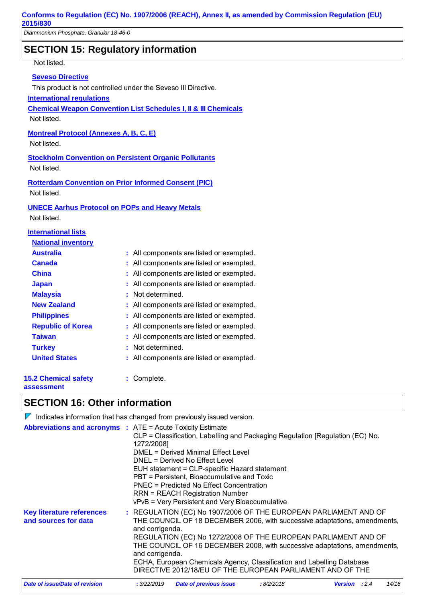# **SECTION 15: Regulatory information**

Not listed.

#### **Seveso Directive**

This product is not controlled under the Seveso III Directive.

#### **International regulations**

**Chemical Weapon Convention List Schedules I, II & III Chemicals**

Not listed.

### **Montreal Protocol (Annexes A, B, C, E)**

Not listed.

**Stockholm Convention on Persistent Organic Pollutants** Not listed.

**Rotterdam Convention on Prior Informed Consent (PIC)** Not listed.

#### **UNECE Aarhus Protocol on POPs and Heavy Metals**

Not listed.

#### **International lists**

| <b>National inventory</b>                 |                                          |
|-------------------------------------------|------------------------------------------|
| <b>Australia</b>                          | : All components are listed or exempted. |
| Canada                                    | All components are listed or exempted.   |
| <b>China</b>                              | All components are listed or exempted.   |
| <b>Japan</b>                              | All components are listed or exempted.   |
| <b>Malaysia</b>                           | : Not determined.                        |
| <b>New Zealand</b>                        | : All components are listed or exempted. |
| <b>Philippines</b>                        | : All components are listed or exempted. |
| <b>Republic of Korea</b>                  | : All components are listed or exempted. |
| Taiwan                                    | All components are listed or exempted.   |
| <b>Turkey</b>                             | : Not determined.                        |
| <b>United States</b>                      | All components are listed or exempted.   |
| <b>15.2 Chemical safety</b><br>assessment | Complete.                                |

# **SECTION 16: Other information**

 $\nabla$  Indicates information that has changed from previously issued version.

| <b>Abbreviations and acronyms : ATE = Acute Toxicity Estimate</b> | 1272/2008]                         | CLP = Classification, Labelling and Packaging Regulation [Regulation (EC) No.<br>DMEL = Derived Minimal Effect Level<br>DNEL = Derived No Effect Level<br>EUH statement = CLP-specific Hazard statement<br>PBT = Persistent, Bioaccumulative and Toxic<br>PNEC = Predicted No Effect Concentration<br><b>RRN = REACH Registration Number</b><br>vPvB = Very Persistent and Very Bioaccumulative                                      |           |                      |       |
|-------------------------------------------------------------------|------------------------------------|--------------------------------------------------------------------------------------------------------------------------------------------------------------------------------------------------------------------------------------------------------------------------------------------------------------------------------------------------------------------------------------------------------------------------------------|-----------|----------------------|-------|
| <b>Key literature references</b><br>and sources for data          | and corrigenda.<br>and corrigenda. | : REGULATION (EC) No 1907/2006 OF THE EUROPEAN PARLIAMENT AND OF<br>THE COUNCIL OF 18 DECEMBER 2006, with successive adaptations, amendments,<br>REGULATION (EC) No 1272/2008 OF THE EUROPEAN PARLIAMENT AND OF<br>THE COUNCIL OF 16 DECEMBER 2008, with successive adaptations, amendments,<br>ECHA, European Chemicals Agency, Classification and Labelling Database<br>DIRECTIVE 2012/18/EU OF THE EUROPEAN PARLIAMENT AND OF THE |           |                      |       |
| Date of issue/Date of revision                                    | : 3/22/2019                        | Date of previous issue                                                                                                                                                                                                                                                                                                                                                                                                               | :8/2/2018 | <b>Version</b> : 2.4 | 14/16 |